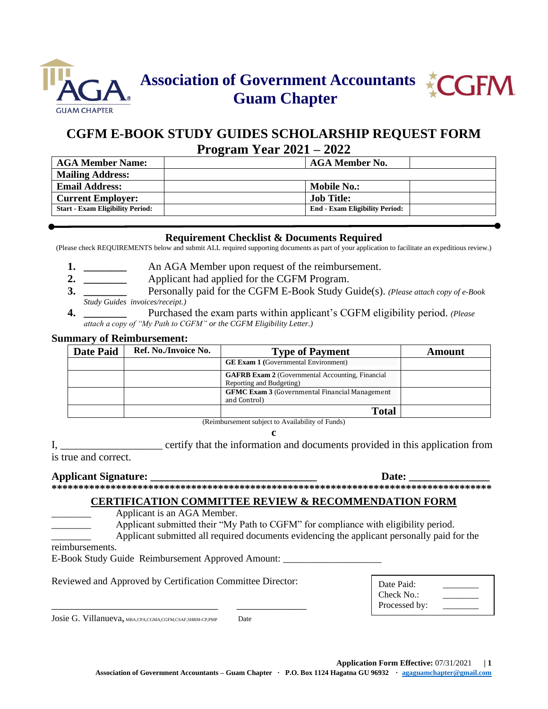



# **CGFM E-BOOK STUDY GUIDES SCHOLARSHIP REQUEST FORM Program Year 2021 – 2022**

| <b>AGA Member Name:</b>                 | AGA Member No.                        |
|-----------------------------------------|---------------------------------------|
| <b>Mailing Address:</b>                 |                                       |
| <b>Email Address:</b>                   | Mobile No.:                           |
| <b>Current Employer:</b>                | <b>Job Title:</b>                     |
| <b>Start - Exam Eligibility Period:</b> | <b>End - Exam Eligibility Period:</b> |

### **Requirement Checklist & Documents Required**

(Please check REQUIREMENTS below and submit ALL required supporting documents as part of your application to facilitate an expeditious review.)

- **1.** An AGA Member upon request of the reimbursement.
- **2. \_\_\_\_\_\_\_\_** Applicant had applied for the CGFM Program.
- **3. \_\_\_\_\_\_\_\_** Personally paid for the CGFM E-Book Study Guide(s). *(Please attach copy of e-Book Study Guides invoices/receipt.)*
- **4. \_\_\_\_\_\_\_\_** Purchased the exam parts within applicant's CGFM eligibility period. *(Please attach a copy of "My Path to CGFM" or the CGFM Eligibility Letter.)*

#### **Summary of Reimbursement:**

| <b>Date Paid</b> | Ref. No./Invoice No. | <b>Type of Payment</b>                                                              | Amount |
|------------------|----------------------|-------------------------------------------------------------------------------------|--------|
|                  |                      | <b>GE Exam 1 (Governmental Environment)</b>                                         |        |
|                  |                      | <b>GAFRB Exam 2</b> (Governmental Accounting, Financial<br>Reporting and Budgeting) |        |
|                  |                      | <b>GFMC Exam 3 (Governmental Financial Management)</b><br>and Control)              |        |
|                  |                      | <b>Total</b>                                                                        |        |

(Reimbursement subject to Availability of Funds)

**c**

I, \_\_\_\_\_\_\_\_\_\_\_\_\_\_\_\_\_\_\_ certify that the information and documents provided in this application from is true and correct.

#### **Applicant Signature:**  $\qquad \qquad$  **Date:**  $\qquad \qquad$ **\*\*\*\*\*\*\*\*\*\*\*\*\*\*\*\*\*\*\*\*\*\*\*\*\*\*\*\*\*\*\*\*\*\*\*\*\*\*\*\*\*\*\*\*\*\*\*\*\*\*\*\*\*\*\*\*\*\*\*\*\*\*\*\*\*\*\*\*\*\*\*\*\*\*\*\*\*\*\*\*\*\***

### **CERTIFICATION COMMITTEE REVIEW & RECOMMENDATION FORM**

Applicant is an AGA Member.

Applicant submitted their "My Path to CGFM" for compliance with eligibility period.

\_\_\_\_\_\_\_\_ Applicant submitted all required documents evidencing the applicant personally paid for the

reimbursements.

E-Book Study Guide Reimbursement Approved Amount:

Reviewed and Approved by Certification Committee Director:

\_\_\_\_\_\_\_\_\_\_\_\_\_\_\_\_\_\_\_\_\_\_\_\_\_\_\_\_\_\_\_ \_\_\_\_\_\_\_\_\_\_\_\_\_

| Date Paid:    |  |
|---------------|--|
| Check No.:    |  |
| Processed by: |  |

Josie G. Villanueva, MBA,CPA,CGMA,CGFM,CSAF,SHRM-CP,PMP Date